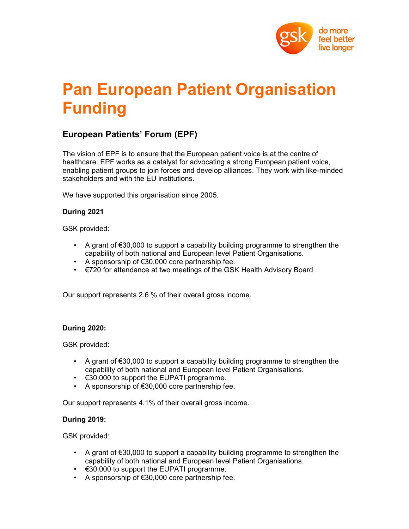

# Pan European Patient Organisation Funding

## European Patients' Forum (EPF)

The vision of EPF is to ensure that the European patient voice is at the centre of healthcare. EPF works as a catalyst for advocating a strong European patient voice, enabling patient groups to join forces and develop alliances. They work with like-minded stakeholders and with the EU institutions.

We have supported this organisation since 2005.

### During 2021

GSK provided:

- A grant of €30,000 to support a capability building programme to strengthen the capability of both national and European level Patient Organisations.
- A sponsorship of €30,000 core partnership fee.
- €720 for attendance at two meetings of the GSK Health Advisory Board

Our support represents 2.6 % of their overall gross income.

### During 2020:

GSK provided:

- A grant of  $\epsilon$ 30,000 to support a capability building programme to strengthen the capability of both national and European level Patient Organisations.
- €30,000 to support the EUPATI programme.
- A sponsorship of  $€30,000$  core partnership fee.

Our support represents 4.1% of their overall gross income.

### During 2019:

GSK provided:

- A grant of  $\epsilon$ 30,000 to support a capability building programme to strengthen the capability of both national and European level Patient Organisations.
- $\cdot$   $\in$ 30,000 to support the EUPATI programme.
- A sponsorship of €30,000 core partnership fee.